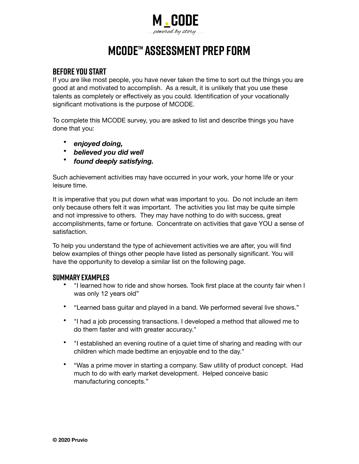

# **MCODE™ ASSESSMENT Prep Form**

### **Before You Start**

If you are like most people, you have never taken the time to sort out the things you are good at and motivated to accomplish. As a result, it is unlikely that you use these talents as completely or effectively as you could. Identification of your vocationally significant motivations is the purpose of MCODE.

To complete this MCODE survey, you are asked to list and describe things you have done that you:

- *enjoyed doing,*
- *believed you did well*
- *found deeply satisfying.*

Such achievement activities may have occurred in your work, your home life or your leisure time.

It is imperative that you put down what was important to you. Do not include an item only because others felt it was important. The activities you list may be quite simple and not impressive to others. They may have nothing to do with success, great accomplishments, fame or fortune. Concentrate on activities that gave YOU a sense of satisfaction.

To help you understand the type of achievement activities we are after, you will find below examples of things other people have listed as personally significant. You will have the opportunity to develop a similar list on the following page.

#### **Summary Examples**

- "I learned how to ride and show horses. Took first place at the county fair when I was only 12 years old"
- "Learned bass guitar and played in a band. We performed several live shows."
- "I had a job processing transactions. I developed a method that allowed me to do them faster and with greater accuracy."
- "I established an evening routine of a quiet time of sharing and reading with our children which made bedtime an enjoyable end to the day."
- "Was a prime mover in starting a company. Saw utility of product concept. Had much to do with early market development. Helped conceive basic manufacturing concepts."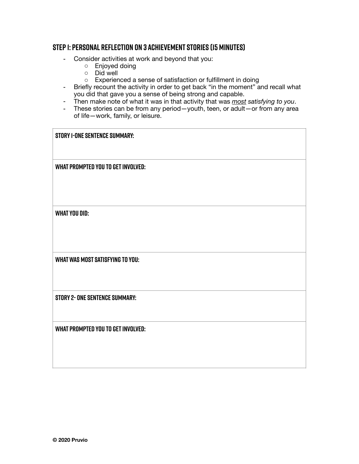#### **Step 1: Personal Reflection on 3 Achievement Stories (15 minutes)**

- Consider activities at work and beyond that you:
	- o Enjoyed doing
	- o Did well
	- o Experienced a sense of satisfaction or fulfillment in doing
- Briefly recount the activity in order to get back "in the moment" and recall what you did that gave you a sense of being strong and capable.
- Then make note of what it was in that activity that was *most satisfying to you*.
- These stories can be from any period—youth, teen, or adult—or from any area of life—work, family, or leisure.

|  | <b>STORY I-ONE SENTENCE SUMMARY:</b> |  |
|--|--------------------------------------|--|
|--|--------------------------------------|--|

**What prompted you to get involved:** 

**What you did:** 

**What was most satisfying to you:** 

**Story 2- one sentence summary:** 

**What prompted you to get involved:**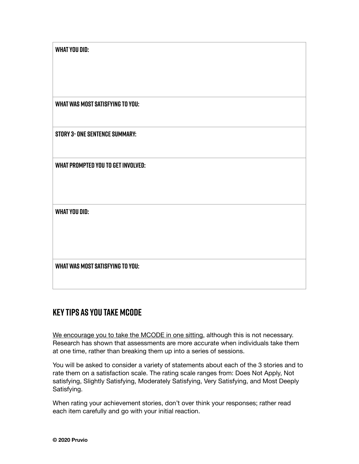| <b>WHAT YOU DID:</b>                      |  |
|-------------------------------------------|--|
|                                           |  |
|                                           |  |
|                                           |  |
| <b>WHAT WAS MOST SATISFYING TO YOU:</b>   |  |
|                                           |  |
| <b>STORY 3- ONE SENTENCE SUMMARY:</b>     |  |
|                                           |  |
| <b>WHAT PROMPTED YOU TO GET INVOLVED:</b> |  |
|                                           |  |
|                                           |  |
| <b>WHAT YOU DID:</b>                      |  |
|                                           |  |
|                                           |  |
|                                           |  |
| <b>WHAT WAS MOST SATISFYING TO YOU:</b>   |  |
|                                           |  |

## **Key Tips As You Take MCODE**

We encourage you to take the MCODE in one sitting, although this is not necessary. Research has shown that assessments are more accurate when individuals take them at one time, rather than breaking them up into a series of sessions.

You will be asked to consider a variety of statements about each of the 3 stories and to rate them on a satisfaction scale. The rating scale ranges from: Does Not Apply, Not satisfying, Slightly Satisfying, Moderately Satisfying, Very Satisfying, and Most Deeply Satisfying.

When rating your achievement stories, don't over think your responses; rather read each item carefully and go with your initial reaction.